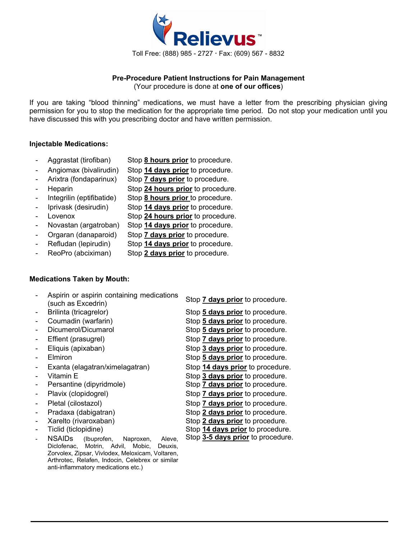

# **Pre-Procedure Patient Instructions for Pain Management**

(Your procedure is done at **one of our offices**)

If you are taking "blood thinning" medications, we must have a letter from the prescribing physician giving permission for you to stop the medication for the appropriate time period. Do not stop your medication until you have discussed this with you prescribing doctor and have written permission.

### **Injectable Medications:**

- - Aggrastat (tirofiban) Stop **8 hours prior** to procedure.
- Angiomax (bivalirudin) Stop **14 days prior** to procedure.
- Arixtra (fondaparinux) Stop **7 days prior** to procedure.
	- Heparin Stop **24 hours prior** to procedure.
- Integrilin (eptifibatide) Stop **8 hours prior** to procedure.
	- Iprivask (desirudin) Stop **14 days prior** to procedure.
- Lovenox Stop 24 hours prior to procedure.
- Novastan (argatroban) Stop **14 days prior** to procedure.
- Orgaran (danaparoid) Stop **7 days prior** to procedure.
- 
- Refludan (lepirudin) Stop **14 days prior** to procedure.
- 
- ReoPro (abciximan) Stop **2 days prior** to procedure.

## **Medications Taken by Mouth:**

- Aspirin or aspirin containing medications (such as Excedrin) Stop **7 days prior** to procedure.
- 
- 
- 
- Effient (prasugrel) Stop **7 days prior** to procedure.
- 
- 
- Exanta (elagatran/ximelagatran) Stop **14 days prior** to procedure.
- 
- Persantine (dipyridmole) Stop **7 days prior** to procedure.
- 
- 
- 
- Xarelto (rivaroxaban) Stop **2 days prior** to procedure.
- 
- NSAIDs (Ibuprofen, Naproxen, Aleve, Diclofenac, Motrin, Advil, Mobic, Deuxis, Zorvolex, Zipsar, Vivlodex, Meloxicam, Voltaren, Arthrotec, Relafen, Indocin, Celebrex or similar anti-inflammatory medications etc.)

- Brilinta (tricagrelor) Stop **5 days prior** to procedure.
- Coumadin (warfarin) Stop **5 days prior** to procedure. Dicumerol/Dicumarol Stop 5 days prior to procedure.
	-
	- Eliquis (apixaban) Stop **3 days prior** to procedure.
	- Elmiron Stop **5 days prior** to procedure.
		-
	- Vitamin E **Stop 3 days prior** to procedure.
		-
	- Plavix (clopidogrel) Stop **7 days prior** to procedure.
		-
- Pletal (cilostazol) **Stop 7 days prior** to procedure.<br>- Pradaxa (dabigatran) Stop 2 days prior to procedure. Stop 2 days prior to procedure.
	-
	- Ticlid (ticlopidine) Stop **14 days prior** to procedure.
		- Stop **3-5 days prior** to procedure.